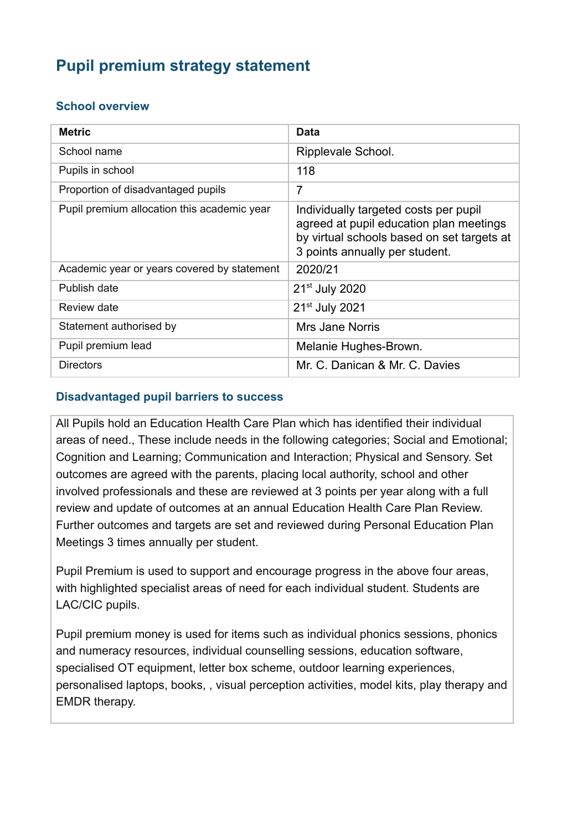# **Pupil premium strategy statement**

### **School overview**

| <b>Metric</b>                               | Data                                                                                                                                                             |
|---------------------------------------------|------------------------------------------------------------------------------------------------------------------------------------------------------------------|
| School name                                 | Ripplevale School.                                                                                                                                               |
| Pupils in school                            | 118                                                                                                                                                              |
| Proportion of disadvantaged pupils          | 7                                                                                                                                                                |
| Pupil premium allocation this academic year | Individually targeted costs per pupil<br>agreed at pupil education plan meetings<br>by virtual schools based on set targets at<br>3 points annually per student. |
| Academic year or years covered by statement | 2020/21                                                                                                                                                          |
| Publish date                                | 21 <sup>st</sup> July 2020                                                                                                                                       |
| Review date                                 | 21 <sup>st</sup> July 2021                                                                                                                                       |
| Statement authorised by                     | Mrs Jane Norris                                                                                                                                                  |
| Pupil premium lead                          | Melanie Hughes-Brown.                                                                                                                                            |
| <b>Directors</b>                            | Mr. C. Danican & Mr. C. Davies                                                                                                                                   |

### **Disadvantaged pupil barriers to success**

All Pupils hold an Education Health Care Plan which has identified their individual areas of need., These include needs in the following categories; Social and Emotional; Cognition and Learning; Communication and Interaction; Physical and Sensory. Set outcomes are agreed with the parents, placing local authority, school and other involved professionals and these are reviewed at 3 points per year along with a full review and update of outcomes at an annual Education Health Care Plan Review. Further outcomes and targets are set and reviewed during Personal Education Plan Meetings 3 times annually per student.

Pupil Premium is used to support and encourage progress in the above four areas, with highlighted specialist areas of need for each individual student. Students are LAC/CIC pupils.

Pupil premium money is used for items such as individual phonics sessions, phonics and numeracy resources, individual counselling sessions, education software, specialised OT equipment, letter box scheme, outdoor learning experiences, personalised laptops, books, , visual perception activities, model kits, play therapy and EMDR therapy.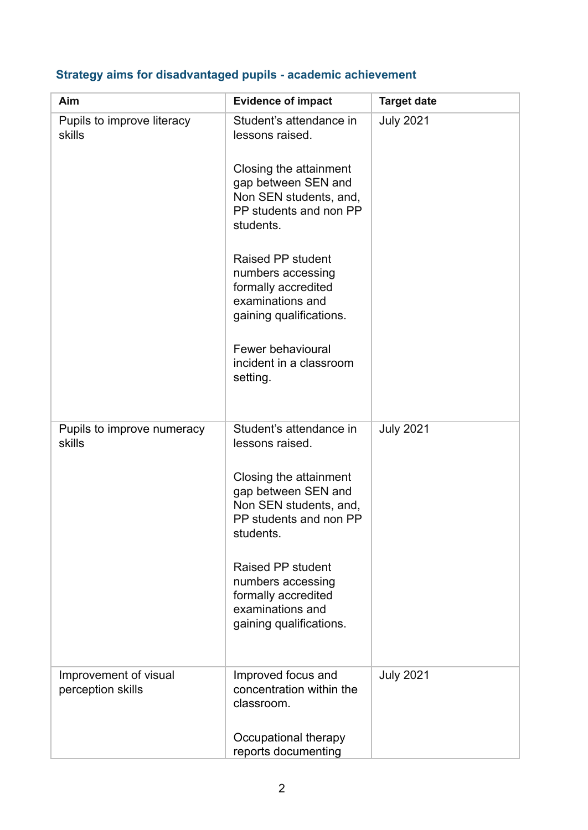|  | Strategy aims for disadvantaged pupils - academic achievement |  |  |
|--|---------------------------------------------------------------|--|--|
|  |                                                               |  |  |

| Aim                                        | <b>Evidence of impact</b>                                                                                           | <b>Target date</b> |
|--------------------------------------------|---------------------------------------------------------------------------------------------------------------------|--------------------|
| Pupils to improve literacy<br>skills       | Student's attendance in<br>lessons raised.                                                                          | <b>July 2021</b>   |
|                                            | Closing the attainment<br>gap between SEN and<br>Non SEN students, and,<br>PP students and non PP<br>students.      |                    |
|                                            | Raised PP student<br>numbers accessing<br>formally accredited<br>examinations and<br>gaining qualifications.        |                    |
|                                            | Fewer behavioural<br>incident in a classroom<br>setting.                                                            |                    |
| Pupils to improve numeracy<br>skills       | Student's attendance in<br>lessons raised.                                                                          | <b>July 2021</b>   |
|                                            | Closing the attainment<br>gap between SEN and<br>Non SEN students, and,<br>PP students and non PP<br>students.      |                    |
|                                            | <b>Raised PP student</b><br>numbers accessing<br>formally accredited<br>examinations and<br>gaining qualifications. |                    |
| Improvement of visual<br>perception skills | Improved focus and<br>concentration within the<br>classroom.                                                        | <b>July 2021</b>   |
|                                            | Occupational therapy<br>reports documenting                                                                         |                    |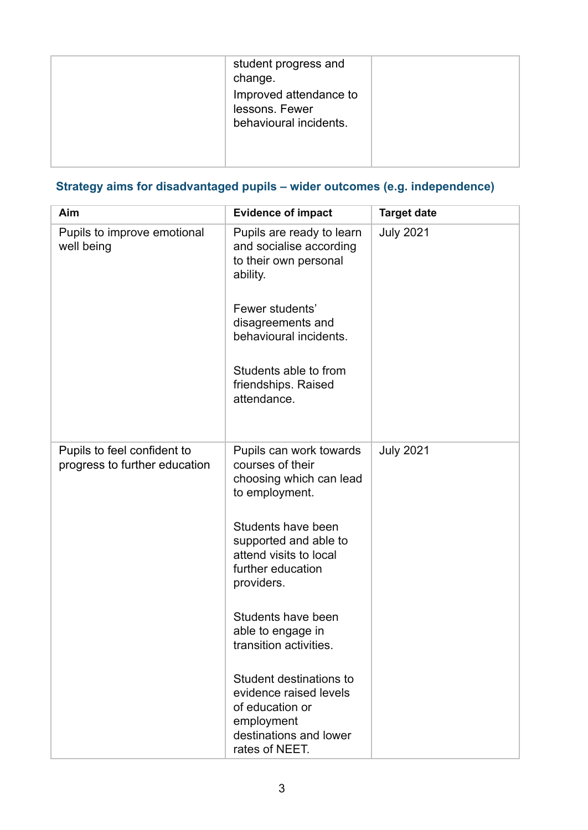| student progress and<br>change.<br>Improved attendance to<br>lessons. Fewer<br>behavioural incidents. |  |
|-------------------------------------------------------------------------------------------------------|--|
|                                                                                                       |  |

## **Strategy aims for disadvantaged pupils – wider outcomes (e.g. independence)**

| Aim                                                          | <b>Evidence of impact</b>                                                                                                                                                                                                                                                                                                                                                                                   | <b>Target date</b> |
|--------------------------------------------------------------|-------------------------------------------------------------------------------------------------------------------------------------------------------------------------------------------------------------------------------------------------------------------------------------------------------------------------------------------------------------------------------------------------------------|--------------------|
| Pupils to improve emotional<br>well being                    | Pupils are ready to learn<br>and socialise according<br>to their own personal<br>ability.<br>Fewer students'<br>disagreements and<br>behavioural incidents.<br>Students able to from<br>friendships. Raised<br>attendance.                                                                                                                                                                                  | <b>July 2021</b>   |
| Pupils to feel confident to<br>progress to further education | Pupils can work towards<br>courses of their<br>choosing which can lead<br>to employment.<br>Students have been<br>supported and able to<br>attend visits to local<br>further education<br>providers.<br>Students have been<br>able to engage in<br>transition activities.<br>Student destinations to<br>evidence raised levels<br>of education or<br>employment<br>destinations and lower<br>rates of NEET. | <b>July 2021</b>   |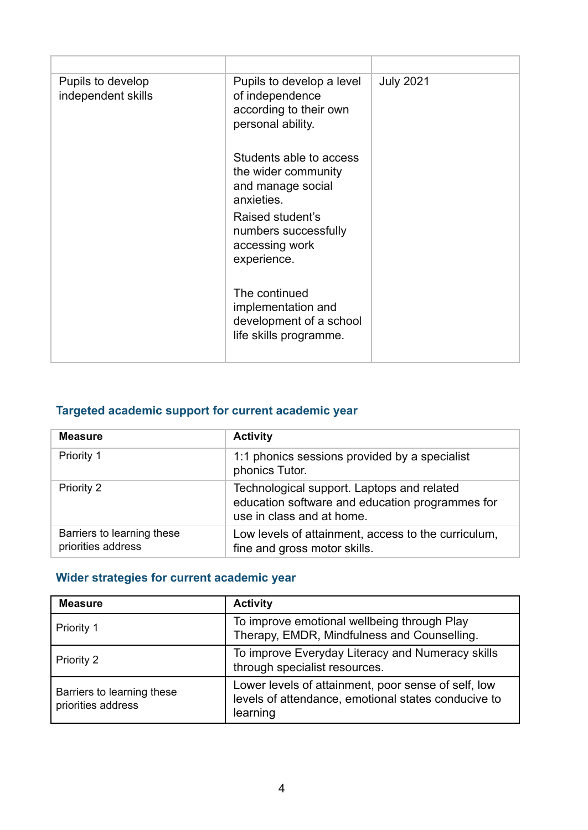| Pupils to develop<br>independent skills | Pupils to develop a level<br>of independence<br>according to their own<br>personal ability. | <b>July 2021</b> |
|-----------------------------------------|---------------------------------------------------------------------------------------------|------------------|
|                                         | Students able to access<br>the wider community<br>and manage social<br>anxieties.           |                  |
|                                         | Raised student's<br>numbers successfully<br>accessing work<br>experience.                   |                  |
|                                         | The continued<br>implementation and<br>development of a school<br>life skills programme.    |                  |

## **Targeted academic support for current academic year**

| <b>Measure</b>                                   | <b>Activity</b>                                                                                                            |
|--------------------------------------------------|----------------------------------------------------------------------------------------------------------------------------|
| Priority 1                                       | 1:1 phonics sessions provided by a specialist<br>phonics Tutor.                                                            |
| Priority 2                                       | Technological support. Laptops and related<br>education software and education programmes for<br>use in class and at home. |
| Barriers to learning these<br>priorities address | Low levels of attainment, access to the curriculum,<br>fine and gross motor skills.                                        |

### **Wider strategies for current academic year**

| <b>Measure</b>                                   | <b>Activity</b>                                                                                                        |
|--------------------------------------------------|------------------------------------------------------------------------------------------------------------------------|
| <b>Priority 1</b>                                | To improve emotional wellbeing through Play<br>Therapy, EMDR, Mindfulness and Counselling.                             |
| Priority 2                                       | To improve Everyday Literacy and Numeracy skills<br>through specialist resources.                                      |
| Barriers to learning these<br>priorities address | Lower levels of attainment, poor sense of self, low<br>levels of attendance, emotional states conducive to<br>learning |